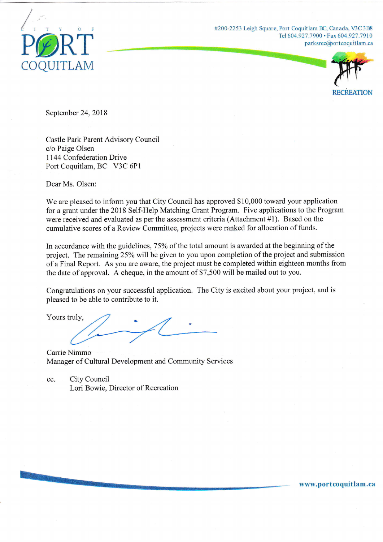

#200-2253 Leigh Square, Port Coquitlam BC, Canada, V3C 3B8 Tel 604.927.7900 · Fax 604.927.7910 parksrec@ort coquit lam.ca



www.portcoquitlam.ca

September 24, 2018

Castle Park Parent Advisory Council c/o Paige O1sen <sup>1</sup>144 Confederation Drive Port Coquitlam, BC V3C 6P1

Dear Ms. Olsen:

We are pleased to inform you that City Council has approved \$10,000 toward your application for a grant under the 2018 Self-Help Matching Grant Program. Five applications to the Program were received and evaluated as per the assessment criteria (Attachment #1). Based on the cumulative scores of a Review Committee, projects were ranked for allocation of funds.

In accordance with the guidelines, 75% of the total amount is awarded at the beginning of the project. The remaining25% will be given to you upon completion of the project and submission of a Final Reporl. As you are aware, the project tnust be cornpleted within eighteen months from the date of approval. A cheque, in the amount of \$7,500 will be mailed out to you.

Congratulations on your successful application. The City is excited about your project, and is pleased to be able to contribute to it.

Yours truly,

Carrie Nimmo Manager of Cultural Development and Community Services

cc. City Council Lori Bowie, Director of Recreation